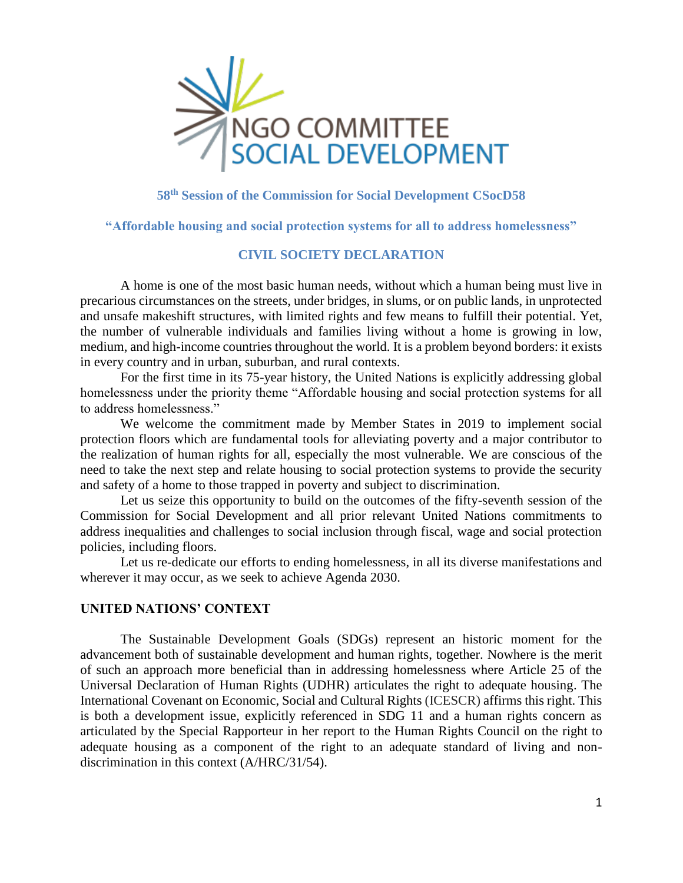

# **58th Session of the Commission for Social Development CSocD58**

**"Affordable housing and social protection systems for all to address homelessness"**

# **CIVIL SOCIETY DECLARATION**

A home is one of the most basic human needs, without which a human being must live in precarious circumstances on the streets, under bridges, in slums, or on public lands, in unprotected and unsafe makeshift structures, with limited rights and few means to fulfill their potential. Yet, the number of vulnerable individuals and families living without a home is growing in low, medium, and high-income countries throughout the world. It is a problem beyond borders: it exists in every country and in urban, suburban, and rural contexts.

For the first time in its 75-year history, the United Nations is explicitly addressing global homelessness under the priority theme "Affordable housing and social protection systems for all to address homelessness."

We welcome the commitment made by Member States in 2019 to implement social protection floors which are fundamental tools for alleviating poverty and a major contributor to the realization of human rights for all, especially the most vulnerable. We are conscious of the need to take the next step and relate housing to social protection systems to provide the security and safety of a home to those trapped in poverty and subject to discrimination.

Let us seize this opportunity to build on the outcomes of the fifty-seventh session of the Commission for Social Development and all prior relevant United Nations commitments to address inequalities and challenges to social inclusion through fiscal, wage and social protection policies, including floors.

Let us re-dedicate our efforts to ending homelessness, in all its diverse manifestations and wherever it may occur, as we seek to achieve Agenda 2030.

## **UNITED NATIONS' CONTEXT**

The Sustainable Development Goals (SDGs) represent an historic moment for the advancement both of sustainable development and human rights, together. Nowhere is the merit of such an approach more beneficial than in addressing homelessness where Article 25 of the Universal Declaration of Human Rights (UDHR) articulates the right to adequate housing. The International Covenant on Economic, Social and Cultural Rights (ICESCR) affirms this right. This is both a development issue, explicitly referenced in SDG 11 and a human rights concern as articulated by the Special Rapporteur in her report to the Human Rights Council on the right to adequate housing as a component of the right to an adequate standard of living and nondiscrimination in this context (A/HRC/31/54).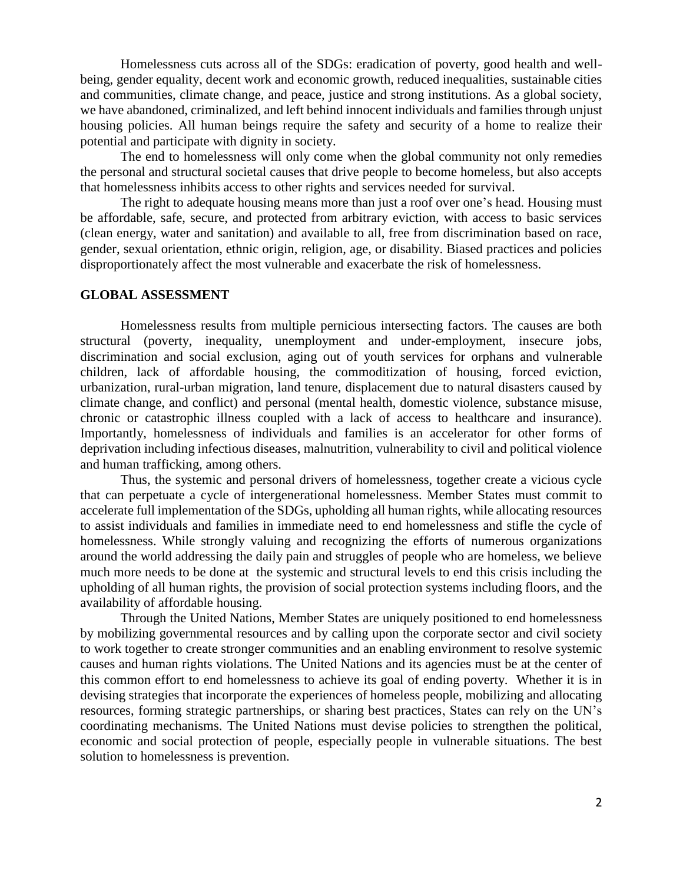Homelessness cuts across all of the SDGs: eradication of poverty, good health and wellbeing, gender equality, decent work and economic growth, reduced inequalities, sustainable cities and communities, climate change, and peace, justice and strong institutions. As a global society, we have abandoned, criminalized, and left behind innocent individuals and families through unjust housing policies. All human beings require the safety and security of a home to realize their potential and participate with dignity in society.

The end to homelessness will only come when the global community not only remedies the personal and structural societal causes that drive people to become homeless, but also accepts that homelessness inhibits access to other rights and services needed for survival.

The right to adequate housing means more than just a roof over one's head. Housing must be affordable, safe, secure, and protected from arbitrary eviction, with access to basic services (clean energy, water and sanitation) and available to all, free from discrimination based on race, gender, sexual orientation, ethnic origin, religion, age, or disability. Biased practices and policies disproportionately affect the most vulnerable and exacerbate the risk of homelessness.

## **GLOBAL ASSESSMENT**

Homelessness results from multiple pernicious intersecting factors. The causes are both structural (poverty, inequality, unemployment and under-employment, insecure jobs, discrimination and social exclusion, aging out of youth services for orphans and vulnerable children, lack of affordable housing, the commoditization of housing, forced eviction, urbanization, rural-urban migration, land tenure, displacement due to natural disasters caused by climate change, and conflict) and personal (mental health, domestic violence, substance misuse, chronic or catastrophic illness coupled with a lack of access to healthcare and insurance). Importantly, homelessness of individuals and families is an accelerator for other forms of deprivation including infectious diseases, malnutrition, vulnerability to civil and political violence and human trafficking, among others.

Thus, the systemic and personal drivers of homelessness, together create a vicious cycle that can perpetuate a cycle of intergenerational homelessness. Member States must commit to accelerate full implementation of the SDGs, upholding all human rights, while allocating resources to assist individuals and families in immediate need to end homelessness and stifle the cycle of homelessness. While strongly valuing and recognizing the efforts of numerous organizations around the world addressing the daily pain and struggles of people who are homeless, we believe much more needs to be done at the systemic and structural levels to end this crisis including the upholding of all human rights, the provision of social protection systems including floors, and the availability of affordable housing.

Through the United Nations, Member States are uniquely positioned to end homelessness by mobilizing governmental resources and by calling upon the corporate sector and civil society to work together to create stronger communities and an enabling environment to resolve systemic causes and human rights violations. The United Nations and its agencies must be at the center of this common effort to end homelessness to achieve its goal of ending poverty. Whether it is in devising strategies that incorporate the experiences of homeless people, mobilizing and allocating resources, forming strategic partnerships, or sharing best practices, States can rely on the UN's coordinating mechanisms. The United Nations must devise policies to strengthen the political, economic and social protection of people, especially people in vulnerable situations. The best solution to homelessness is prevention.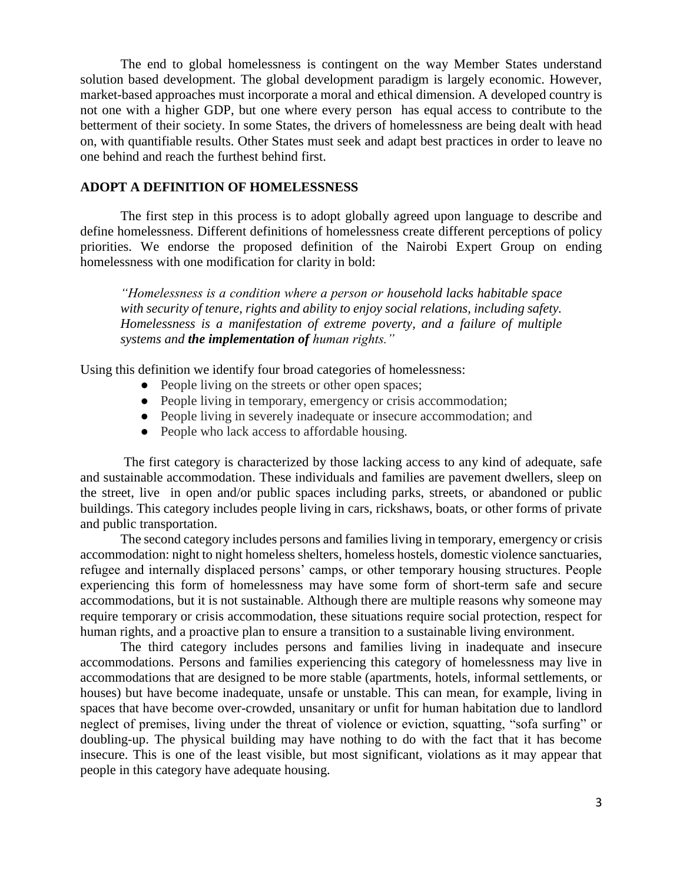The end to global homelessness is contingent on the way Member States understand solution based development. The global development paradigm is largely economic. However, market-based approaches must incorporate a moral and ethical dimension. A developed country is not one with a higher GDP, but one where every person has equal access to contribute to the betterment of their society. In some States, the drivers of homelessness are being dealt with head on, with quantifiable results. Other States must seek and adapt best practices in order to leave no one behind and reach the furthest behind first.

#### **ADOPT A DEFINITION OF HOMELESSNESS**

The first step in this process is to adopt globally agreed upon language to describe and define homelessness. Different definitions of homelessness create different perceptions of policy priorities. We endorse the proposed definition of the Nairobi Expert Group on ending homelessness with one modification for clarity in bold:

*"Homelessness is a condition where a person or household lacks habitable space with security of tenure, rights and ability to enjoy social relations, including safety. Homelessness is a manifestation of extreme poverty, and a failure of multiple systems and the implementation of human rights."*

Using this definition we identify four broad categories of homelessness:

- People living on the streets or other open spaces;
- People living in temporary, emergency or crisis accommodation;
- People living in severely inadequate or insecure accommodation; and
- People who lack access to affordable housing.

The first category is characterized by those lacking access to any kind of adequate, safe and sustainable accommodation. These individuals and families are pavement dwellers, sleep on the street, live in open and/or public spaces including parks, streets, or abandoned or public buildings. This category includes people living in cars, rickshaws, boats, or other forms of private and public transportation.

The second category includes persons and families living in temporary, emergency or crisis accommodation: night to night homeless shelters, homeless hostels, domestic violence sanctuaries, refugee and internally displaced persons' camps, or other temporary housing structures. People experiencing this form of homelessness may have some form of short-term safe and secure accommodations, but it is not sustainable. Although there are multiple reasons why someone may require temporary or crisis accommodation, these situations require social protection, respect for human rights, and a proactive plan to ensure a transition to a sustainable living environment.

The third category includes persons and families living in inadequate and insecure accommodations. Persons and families experiencing this category of homelessness may live in accommodations that are designed to be more stable (apartments, hotels, informal settlements, or houses) but have become inadequate, unsafe or unstable. This can mean, for example, living in spaces that have become over-crowded, unsanitary or unfit for human habitation due to landlord neglect of premises, living under the threat of violence or eviction, squatting, "sofa surfing" or doubling-up. The physical building may have nothing to do with the fact that it has become insecure. This is one of the least visible, but most significant, violations as it may appear that people in this category have adequate housing.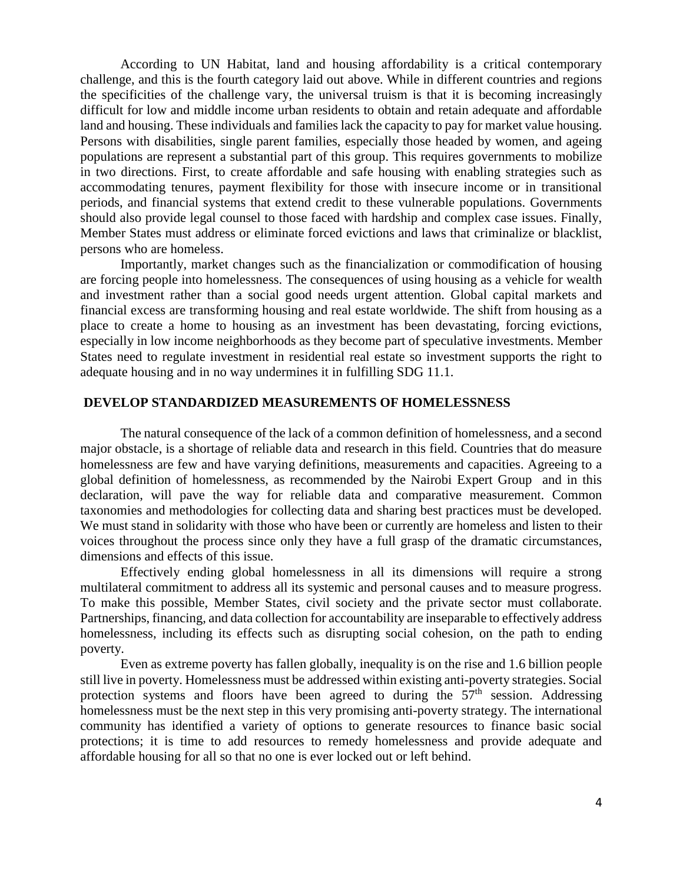According to UN Habitat, land and housing affordability is a critical contemporary challenge, and this is the fourth category laid out above. While in different countries and regions the specificities of the challenge vary, the universal truism is that it is becoming increasingly difficult for low and middle income urban residents to obtain and retain adequate and affordable land and housing. These individuals and families lack the capacity to pay for market value housing. Persons with disabilities, single parent families, especially those headed by women, and ageing populations are represent a substantial part of this group. This requires governments to mobilize in two directions. First, to create affordable and safe housing with enabling strategies such as accommodating tenures, payment flexibility for those with insecure income or in transitional periods, and financial systems that extend credit to these vulnerable populations. Governments should also provide legal counsel to those faced with hardship and complex case issues. Finally, Member States must address or eliminate forced evictions and laws that criminalize or blacklist, persons who are homeless.

Importantly, market changes such as the financialization or commodification of housing are forcing people into homelessness. The consequences of using housing as a vehicle for wealth and investment rather than a social good needs urgent attention. Global capital markets and financial excess are transforming housing and real estate worldwide. The shift from housing as a place to create a home to housing as an investment has been devastating, forcing evictions, especially in low income neighborhoods as they become part of speculative investments. Member States need to regulate investment in residential real estate so investment supports the right to adequate housing and in no way undermines it in fulfilling SDG 11.1.

#### **DEVELOP STANDARDIZED MEASUREMENTS OF HOMELESSNESS**

The natural consequence of the lack of a common definition of homelessness, and a second major obstacle, is a shortage of reliable data and research in this field. Countries that do measure homelessness are few and have varying definitions, measurements and capacities. Agreeing to a global definition of homelessness, as recommended by the Nairobi Expert Group and in this declaration, will pave the way for reliable data and comparative measurement. Common taxonomies and methodologies for collecting data and sharing best practices must be developed. We must stand in solidarity with those who have been or currently are homeless and listen to their voices throughout the process since only they have a full grasp of the dramatic circumstances, dimensions and effects of this issue.

Effectively ending global homelessness in all its dimensions will require a strong multilateral commitment to address all its systemic and personal causes and to measure progress. To make this possible, Member States, civil society and the private sector must collaborate. Partnerships, financing, and data collection for accountability are inseparable to effectively address homelessness, including its effects such as disrupting social cohesion, on the path to ending poverty.

Even as extreme poverty has fallen globally, inequality is on the rise and 1.6 billion people still live in poverty. Homelessness must be addressed within existing anti-poverty strategies. Social protection systems and floors have been agreed to during the  $57<sup>th</sup>$  session. Addressing homelessness must be the next step in this very promising anti-poverty strategy. The international community has identified a variety of options to generate resources to finance basic social protections; it is time to add resources to remedy homelessness and provide adequate and affordable housing for all so that no one is ever locked out or left behind.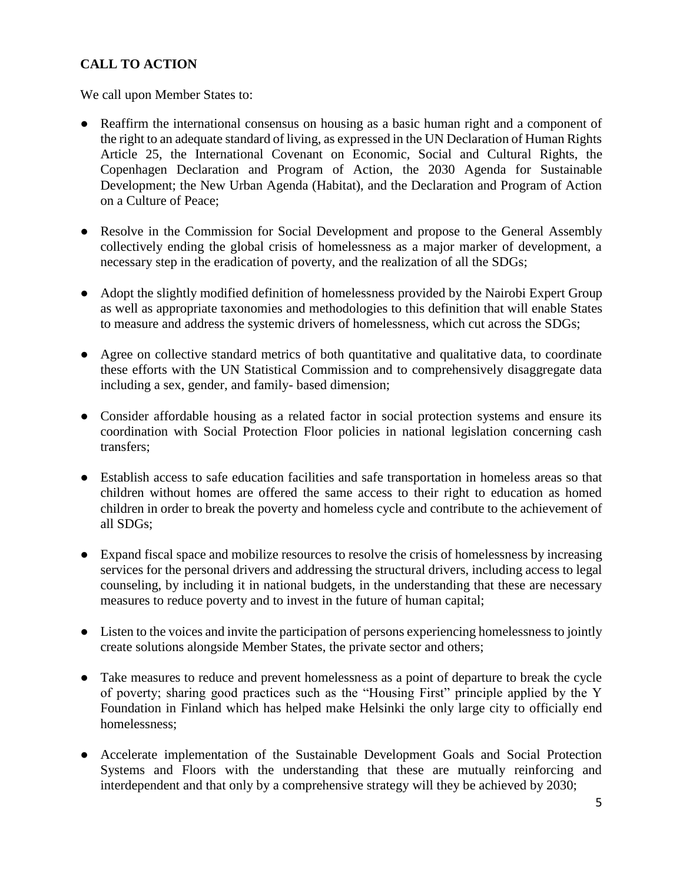# **CALL TO ACTION**

We call upon Member States to:

- Reaffirm the international consensus on housing as a basic human right and a component of the right to an adequate standard of living, as expressed in the UN Declaration of Human Rights Article 25, the International Covenant on Economic, Social and Cultural Rights, the Copenhagen Declaration and Program of Action, the 2030 Agenda for Sustainable Development; the New Urban Agenda (Habitat), and the Declaration and Program of Action on a Culture of Peace;
- Resolve in the Commission for Social Development and propose to the General Assembly collectively ending the global crisis of homelessness as a major marker of development, a necessary step in the eradication of poverty, and the realization of all the SDGs;
- Adopt the slightly modified definition of homelessness provided by the Nairobi Expert Group as well as appropriate taxonomies and methodologies to this definition that will enable States to measure and address the systemic drivers of homelessness, which cut across the SDGs;
- Agree on collective standard metrics of both quantitative and qualitative data, to coordinate these efforts with the UN Statistical Commission and to comprehensively disaggregate data including a sex, gender, and family- based dimension;
- Consider affordable housing as a related factor in social protection systems and ensure its coordination with Social Protection Floor policies in national legislation concerning cash transfers;
- Establish access to safe education facilities and safe transportation in homeless areas so that children without homes are offered the same access to their right to education as homed children in order to break the poverty and homeless cycle and contribute to the achievement of all SDGs;
- Expand fiscal space and mobilize resources to resolve the crisis of homelessness by increasing services for the personal drivers and addressing the structural drivers, including access to legal counseling, by including it in national budgets, in the understanding that these are necessary measures to reduce poverty and to invest in the future of human capital;
- Listen to the voices and invite the participation of persons experiencing homelessness to jointly create solutions alongside Member States, the private sector and others;
- Take measures to reduce and prevent homelessness as a point of departure to break the cycle of poverty; sharing good practices such as the "Housing First" principle applied by the Y Foundation in Finland which has helped make Helsinki the only large city to officially end homelessness;
- Accelerate implementation of the Sustainable Development Goals and Social Protection Systems and Floors with the understanding that these are mutually reinforcing and interdependent and that only by a comprehensive strategy will they be achieved by 2030;